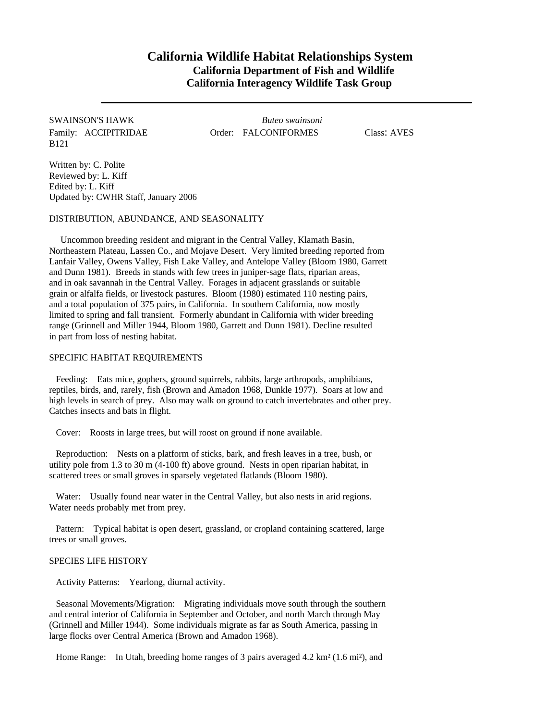## **California Wildlife Habitat Relationships System California Department of Fish and Wildlife California Interagency Wildlife Task Group**

B121

SWAINSON'S HAWK *Buteo swainsoni* Family: ACCIPITRIDAE Order: FALCONIFORMES Class: AVES

Written by: C. Polite Reviewed by: L. Kiff Edited by: L. Kiff Updated by: CWHR Staff, January 2006

DISTRIBUTION, ABUNDANCE, AND SEASONALITY

Uncommon breeding resident and migrant in the Central Valley, Klamath Basin, Northeastern Plateau, Lassen Co., and Mojave Desert. Very limited breeding reported from Lanfair Valley, Owens Valley, Fish Lake Valley, and Antelope Valley (Bloom 1980, Garrett and Dunn 1981). Breeds in stands with few trees in juniper-sage flats, riparian areas, and in oak savannah in the Central Valley. Forages in adjacent grasslands or suitable grain or alfalfa fields, or livestock pastures. Bloom (1980) estimated 110 nesting pairs, and a total population of 375 pairs, in California. In southern California, now mostly limited to spring and fall transient. Formerly abundant in California with wider breeding range (Grinnell and Miller 1944, Bloom 1980, Garrett and Dunn 1981). Decline resulted in part from loss of nesting habitat.

## SPECIFIC HABITAT REQUIREMENTS

Feeding: Eats mice, gophers, ground squirrels, rabbits, large arthropods, amphibians, reptiles, birds, and, rarely, fish (Brown and Amadon 1968, Dunkle 1977). Soars at low and high levels in search of prey. Also may walk on ground to catch invertebrates and other prey. Catches insects and bats in flight.

Cover: Roosts in large trees, but will roost on ground if none available.

Reproduction: Nests on a platform of sticks, bark, and fresh leaves in a tree, bush, or utility pole from 1.3 to 30 m (4-100 ft) above ground. Nests in open riparian habitat, in scattered trees or small groves in sparsely vegetated flatlands (Bloom 1980).

Water: Usually found near water in the Central Valley, but also nests in arid regions. Water needs probably met from prey.

Pattern: Typical habitat is open desert, grassland, or cropland containing scattered, large trees or small groves.

## SPECIES LIFE HISTORY

Activity Patterns: Yearlong, diurnal activity.

Seasonal Movements/Migration: Migrating individuals move south through the southern and central interior of California in September and October, and north March through May (Grinnell and Miller 1944). Some individuals migrate as far as South America, passing in large flocks over Central America (Brown and Amadon 1968).

Home Range: In Utah, breeding home ranges of 3 pairs averaged 4.2 km² (1.6 mi²), and